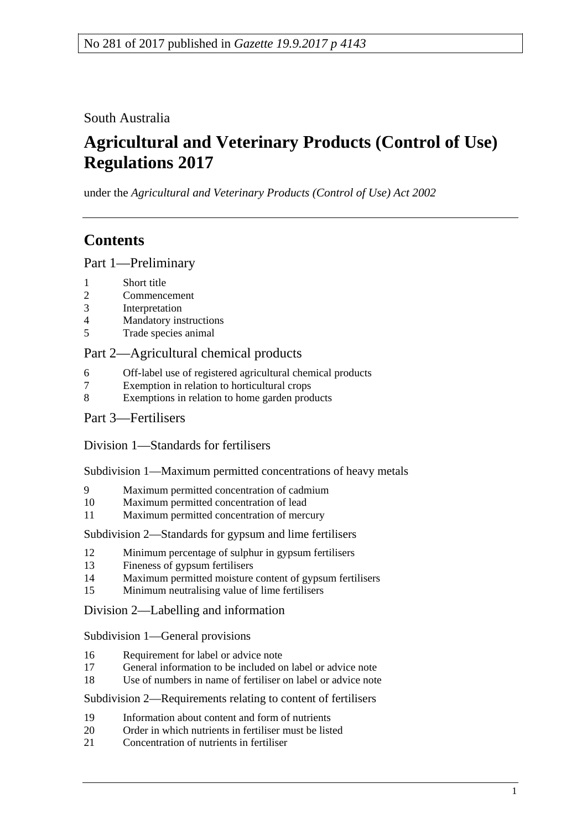South Australia

# **Agricultural and Veterinary Products (Control of Use) Regulations 2017**

under the *Agricultural and Veterinary Products (Control of Use) Act 2002*

# **Contents**

Part [1—Preliminary](#page-1-0)

- 1 [Short title](#page-1-1)
- 2 [Commencement](#page-1-2)
- 3 [Interpretation](#page-2-0)
- 4 [Mandatory instructions](#page-2-1)
- 5 [Trade species animal](#page-3-0)

## Part [2—Agricultural chemical products](#page-3-1)

- 6 [Off-label use of registered agricultural chemical products](#page-3-2)
- 7 [Exemption in relation to horticultural crops](#page-4-0)<br>8 Exemptions in relation to home garden proc
- [Exemptions in relation to home garden products](#page-4-1)
- Part [3—Fertilisers](#page-4-2)

Division [1—Standards for fertilisers](#page-4-3)

Subdivision [1—Maximum permitted concentrations of heavy metals](#page-4-4)

- 9 [Maximum permitted concentration of cadmium](#page-4-5)<br>10 Maximum permitted concentration of lead
- [Maximum permitted concentration of lead](#page-5-0)
- 11 [Maximum permitted concentration of mercury](#page-5-1)

Subdivision [2—Standards for gypsum and lime fertilisers](#page-5-2)

- 12 [Minimum percentage of sulphur in gypsum fertilisers](#page-5-3)
- 13 [Fineness of gypsum fertilisers](#page-5-4)
- 14 [Maximum permitted moisture content of gypsum fertilisers](#page-5-5)
- 15 [Minimum neutralising value of lime fertilisers](#page-6-0)

Division [2—Labelling and information](#page-6-1)

Subdivision [1—General provisions](#page-6-2)

- 16 [Requirement for label or advice note](#page-6-3)
- 17 [General information to be included on label or advice note](#page-6-4)
- 18 [Use of numbers in name of fertiliser on label or advice note](#page-6-5)

Subdivision [2—Requirements relating to content of fertilisers](#page-7-0)

- 19 [Information about content and form of nutrients](#page-7-1)
- 20 [Order in which nutrients in fertiliser must be listed](#page-8-0)
- 21 [Concentration of nutrients in fertiliser](#page-8-1)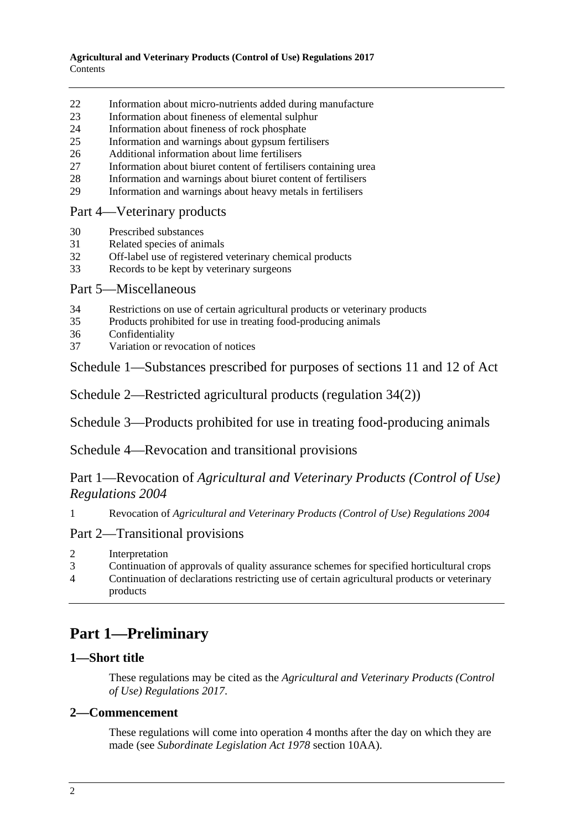- 22 [Information about micro-nutrients added during manufacture](#page-9-0)
- 23 [Information about fineness of elemental sulphur](#page-9-1)
- 24 [Information about fineness of rock phosphate](#page-9-2)
- 25 [Information and warnings about gypsum fertilisers](#page-9-3)
- 26 [Additional information about lime fertilisers](#page-10-0)
- 27 [Information about biuret content of fertilisers containing urea](#page-10-1)
- 28 [Information and warnings about biuret content of fertilisers](#page-10-2)
- 29 [Information and warnings about heavy metals in fertilisers](#page-10-3)

#### Part [4—Veterinary products](#page-11-0)

- 30 [Prescribed substances](#page-11-1)
- 31 [Related species of animals](#page-12-0)
- 32 [Off-label use of registered veterinary chemical products](#page-12-1)
- 33 [Records to be kept by veterinary surgeons](#page-13-0)

### Part [5—Miscellaneous](#page-14-0)

- 34 Restrictions on use [of certain agricultural products or veterinary products](#page-14-1)
- 35 [Products prohibited for use in treating food-producing animals](#page-15-0)
- 36 [Confidentiality](#page-15-1)
- 37 [Variation or revocation of notices](#page-16-0)

Schedule [1—Substances prescribed for purposes of sections 11 and 12 of Act](#page-16-1)

Schedule [2—Restricted agricultural products \(regulation](#page-16-2) 34(2))

Schedule [3—Products prohibited for use in treating food-producing animals](#page-17-0)

Schedule [4—Revocation and transitional provisions](#page-17-1)

# Part 1—Revocation of *Agricultural and Veterinary Products (Control of Use) Regulations 2004*

1 Revocation of *[Agricultural and Veterinary Products \(Control of Use\) Regulations 2004](#page-17-2)*

### Part 2—Transitional provisions

- 2 [Interpretation](#page-17-3)
- 3 [Continuation of approvals of quality assurance schemes for specified horticultural crops](#page-17-4)
- 4 [Continuation of declarations restricting use of certain agricultural products or veterinary](#page-17-5)  [products](#page-17-5)

# <span id="page-1-0"></span>**Part 1—Preliminary**

### <span id="page-1-1"></span>**1—Short title**

These regulations may be cited as the *Agricultural and Veterinary Products (Control of Use) Regulations 2017*.

### <span id="page-1-2"></span>**2—Commencement**

These regulations will come into operation 4 months after the day on which they are made (see *[Subordinate Legislation Act](http://www.legislation.sa.gov.au/index.aspx?action=legref&type=act&legtitle=Subordinate%20Legislation%20Act%201978) 1978* section 10AA).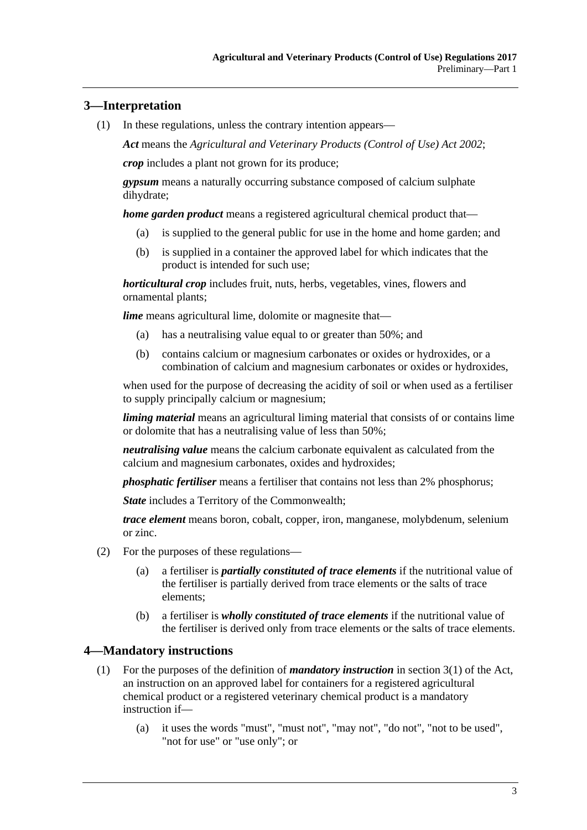## <span id="page-2-0"></span>**3—Interpretation**

(1) In these regulations, unless the contrary intention appears—

*Act* means the *[Agricultural and Veterinary Products \(Control of Use\) Act](http://www.legislation.sa.gov.au/index.aspx?action=legref&type=act&legtitle=Agricultural%20and%20Veterinary%20Products%20(Control%20of%20Use)%20Act%202002) 2002*;

*crop* includes a plant not grown for its produce;

*gypsum* means a naturally occurring substance composed of calcium sulphate dihydrate;

*home garden product* means a registered agricultural chemical product that—

- (a) is supplied to the general public for use in the home and home garden; and
- (b) is supplied in a container the approved label for which indicates that the product is intended for such use;

*horticultural crop* includes fruit, nuts, herbs, vegetables, vines, flowers and ornamental plants;

*lime* means agricultural lime, dolomite or magnesite that—

- (a) has a neutralising value equal to or greater than 50%; and
- (b) contains calcium or magnesium carbonates or oxides or hydroxides, or a combination of calcium and magnesium carbonates or oxides or hydroxides,

when used for the purpose of decreasing the acidity of soil or when used as a fertiliser to supply principally calcium or magnesium;

*liming material* means an agricultural liming material that consists of or contains lime or dolomite that has a neutralising value of less than 50%;

*neutralising value* means the calcium carbonate equivalent as calculated from the calcium and magnesium carbonates, oxides and hydroxides;

*phosphatic fertiliser* means a fertiliser that contains not less than 2% phosphorus;

*State* includes a Territory of the Commonwealth;

*trace element* means boron, cobalt, copper, iron, manganese, molybdenum, selenium or zinc.

- (2) For the purposes of these regulations—
	- (a) a fertiliser is *partially constituted of trace elements* if the nutritional value of the fertiliser is partially derived from trace elements or the salts of trace elements;
	- (b) a fertiliser is *wholly constituted of trace elements* if the nutritional value of the fertiliser is derived only from trace elements or the salts of trace elements.

### <span id="page-2-1"></span>**4—Mandatory instructions**

- (1) For the purposes of the definition of *mandatory instruction* in section 3(1) of the Act, an instruction on an approved label for containers for a registered agricultural chemical product or a registered veterinary chemical product is a mandatory instruction if—
	- (a) it uses the words "must", "must not", "may not", "do not", "not to be used", "not for use" or "use only"; or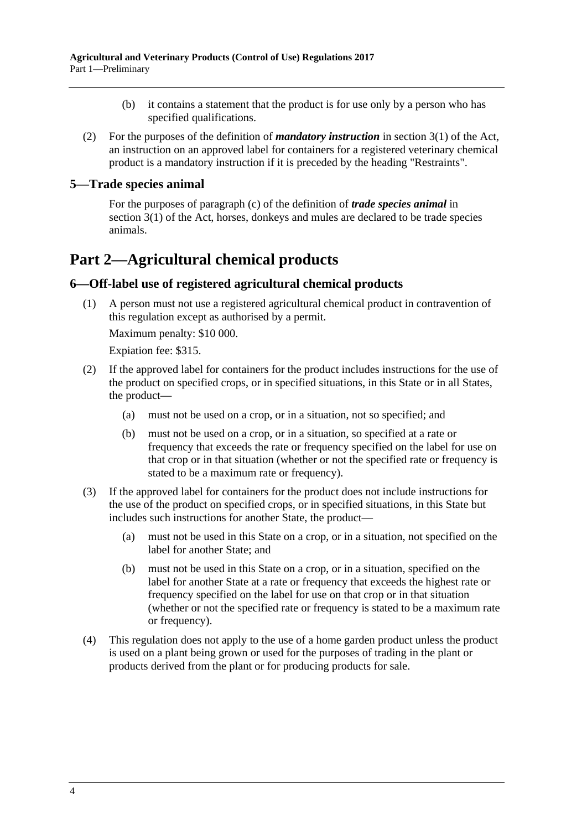- (b) it contains a statement that the product is for use only by a person who has specified qualifications.
- (2) For the purposes of the definition of *mandatory instruction* in section 3(1) of the Act, an instruction on an approved label for containers for a registered veterinary chemical product is a mandatory instruction if it is preceded by the heading "Restraints".

#### <span id="page-3-0"></span>**5—Trade species animal**

For the purposes of paragraph (c) of the definition of *trade species animal* in section 3(1) of the Act, horses, donkeys and mules are declared to be trade species animals.

# <span id="page-3-1"></span>**Part 2—Agricultural chemical products**

### <span id="page-3-2"></span>**6—Off-label use of registered agricultural chemical products**

(1) A person must not use a registered agricultural chemical product in contravention of this regulation except as authorised by a permit.

Maximum penalty: \$10 000.

Expiation fee: \$315.

- (2) If the approved label for containers for the product includes instructions for the use of the product on specified crops, or in specified situations, in this State or in all States, the product—
	- (a) must not be used on a crop, or in a situation, not so specified; and
	- (b) must not be used on a crop, or in a situation, so specified at a rate or frequency that exceeds the rate or frequency specified on the label for use on that crop or in that situation (whether or not the specified rate or frequency is stated to be a maximum rate or frequency).
- (3) If the approved label for containers for the product does not include instructions for the use of the product on specified crops, or in specified situations, in this State but includes such instructions for another State, the product—
	- (a) must not be used in this State on a crop, or in a situation, not specified on the label for another State; and
	- (b) must not be used in this State on a crop, or in a situation, specified on the label for another State at a rate or frequency that exceeds the highest rate or frequency specified on the label for use on that crop or in that situation (whether or not the specified rate or frequency is stated to be a maximum rate or frequency).
- (4) This regulation does not apply to the use of a home garden product unless the product is used on a plant being grown or used for the purposes of trading in the plant or products derived from the plant or for producing products for sale.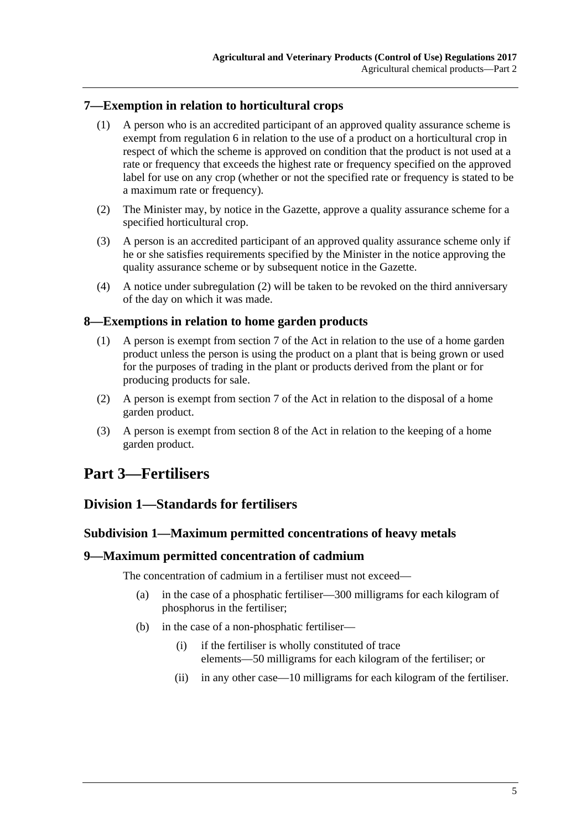## <span id="page-4-0"></span>**7—Exemption in relation to horticultural crops**

- (1) A person who is an accredited participant of an approved quality assurance scheme is exempt from [regulation](#page-3-2) 6 in relation to the use of a product on a horticultural crop in respect of which the scheme is approved on condition that the product is not used at a rate or frequency that exceeds the highest rate or frequency specified on the approved label for use on any crop (whether or not the specified rate or frequency is stated to be a maximum rate or frequency).
- <span id="page-4-6"></span>(2) The Minister may, by notice in the Gazette, approve a quality assurance scheme for a specified horticultural crop.
- (3) A person is an accredited participant of an approved quality assurance scheme only if he or she satisfies requirements specified by the Minister in the notice approving the quality assurance scheme or by subsequent notice in the Gazette.
- (4) A notice under [subregulation](#page-4-6) (2) will be taken to be revoked on the third anniversary of the day on which it was made.

## <span id="page-4-1"></span>**8—Exemptions in relation to home garden products**

- (1) A person is exempt from section 7 of the Act in relation to the use of a home garden product unless the person is using the product on a plant that is being grown or used for the purposes of trading in the plant or products derived from the plant or for producing products for sale.
- (2) A person is exempt from section 7 of the Act in relation to the disposal of a home garden product.
- (3) A person is exempt from section 8 of the Act in relation to the keeping of a home garden product.

# <span id="page-4-3"></span><span id="page-4-2"></span>**Part 3—Fertilisers**

## <span id="page-4-4"></span>**Division 1—Standards for fertilisers**

#### **Subdivision 1—Maximum permitted concentrations of heavy metals**

#### <span id="page-4-5"></span>**9—Maximum permitted concentration of cadmium**

The concentration of cadmium in a fertiliser must not exceed—

- (a) in the case of a phosphatic fertiliser—300 milligrams for each kilogram of phosphorus in the fertiliser;
- (b) in the case of a non-phosphatic fertiliser—
	- (i) if the fertiliser is wholly constituted of trace elements—50 milligrams for each kilogram of the fertiliser; or
	- (ii) in any other case—10 milligrams for each kilogram of the fertiliser.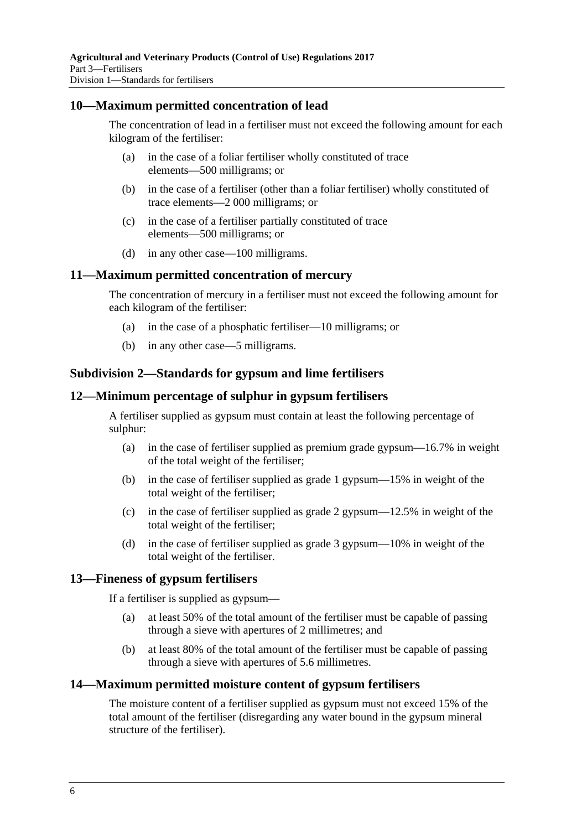#### <span id="page-5-0"></span>**10—Maximum permitted concentration of lead**

The concentration of lead in a fertiliser must not exceed the following amount for each kilogram of the fertiliser:

- (a) in the case of a foliar fertiliser wholly constituted of trace elements—500 milligrams; or
- (b) in the case of a fertiliser (other than a foliar fertiliser) wholly constituted of trace elements—2 000 milligrams; or
- (c) in the case of a fertiliser partially constituted of trace elements—500 milligrams; or
- (d) in any other case—100 milligrams.

#### <span id="page-5-1"></span>**11—Maximum permitted concentration of mercury**

The concentration of mercury in a fertiliser must not exceed the following amount for each kilogram of the fertiliser:

- (a) in the case of a phosphatic fertiliser—10 milligrams; or
- (b) in any other case—5 milligrams.

#### <span id="page-5-2"></span>**Subdivision 2—Standards for gypsum and lime fertilisers**

#### <span id="page-5-3"></span>**12—Minimum percentage of sulphur in gypsum fertilisers**

A fertiliser supplied as gypsum must contain at least the following percentage of sulphur:

- (a) in the case of fertiliser supplied as premium grade gypsum—16.7% in weight of the total weight of the fertiliser;
- (b) in the case of fertiliser supplied as grade 1 gypsum—15% in weight of the total weight of the fertiliser;
- (c) in the case of fertiliser supplied as grade 2 gypsum—12.5% in weight of the total weight of the fertiliser;
- (d) in the case of fertiliser supplied as grade 3 gypsum—10% in weight of the total weight of the fertiliser.

#### <span id="page-5-4"></span>**13—Fineness of gypsum fertilisers**

If a fertiliser is supplied as gypsum—

- (a) at least 50% of the total amount of the fertiliser must be capable of passing through a sieve with apertures of 2 millimetres; and
- (b) at least 80% of the total amount of the fertiliser must be capable of passing through a sieve with apertures of 5.6 millimetres.

#### <span id="page-5-5"></span>**14—Maximum permitted moisture content of gypsum fertilisers**

The moisture content of a fertiliser supplied as gypsum must not exceed 15% of the total amount of the fertiliser (disregarding any water bound in the gypsum mineral structure of the fertiliser).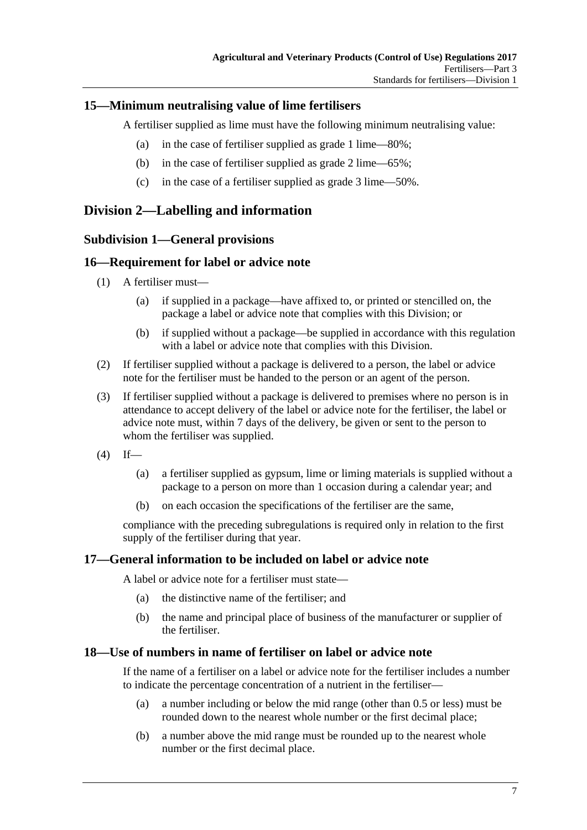## <span id="page-6-0"></span>**15—Minimum neutralising value of lime fertilisers**

A fertiliser supplied as lime must have the following minimum neutralising value:

- (a) in the case of fertiliser supplied as grade 1 lime—80%;
- (b) in the case of fertiliser supplied as grade 2 lime—65%;
- (c) in the case of a fertiliser supplied as grade 3 lime—50%.

# <span id="page-6-2"></span><span id="page-6-1"></span>**Division 2—Labelling and information**

### **Subdivision 1—General provisions**

### <span id="page-6-3"></span>**16—Requirement for label or advice note**

- (1) A fertiliser must—
	- (a) if supplied in a package—have affixed to, or printed or stencilled on, the package a label or advice note that complies with this Division; or
	- (b) if supplied without a package—be supplied in accordance with this regulation with a label or advice note that complies with this Division.
- (2) If fertiliser supplied without a package is delivered to a person, the label or advice note for the fertiliser must be handed to the person or an agent of the person.
- (3) If fertiliser supplied without a package is delivered to premises where no person is in attendance to accept delivery of the label or advice note for the fertiliser, the label or advice note must, within 7 days of the delivery, be given or sent to the person to whom the fertiliser was supplied.
- $(4)$  If—
	- (a) a fertiliser supplied as gypsum, lime or liming materials is supplied without a package to a person on more than 1 occasion during a calendar year; and
	- (b) on each occasion the specifications of the fertiliser are the same,

compliance with the preceding subregulations is required only in relation to the first supply of the fertiliser during that year.

### <span id="page-6-4"></span>**17—General information to be included on label or advice note**

A label or advice note for a fertiliser must state—

- (a) the distinctive name of the fertiliser; and
- (b) the name and principal place of business of the manufacturer or supplier of the fertiliser.

#### <span id="page-6-5"></span>**18—Use of numbers in name of fertiliser on label or advice note**

If the name of a fertiliser on a label or advice note for the fertiliser includes a number to indicate the percentage concentration of a nutrient in the fertiliser—

- (a) a number including or below the mid range (other than 0.5 or less) must be rounded down to the nearest whole number or the first decimal place;
- (b) a number above the mid range must be rounded up to the nearest whole number or the first decimal place.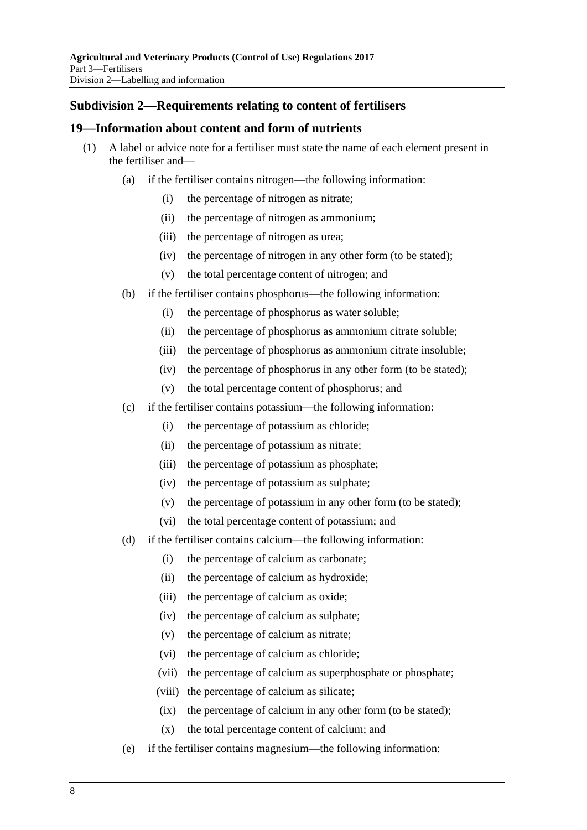## <span id="page-7-0"></span>**Subdivision 2—Requirements relating to content of fertilisers**

#### <span id="page-7-1"></span>**19—Information about content and form of nutrients**

- (1) A label or advice note for a fertiliser must state the name of each element present in the fertiliser and—
	- (a) if the fertiliser contains nitrogen—the following information:
		- (i) the percentage of nitrogen as nitrate;
		- (ii) the percentage of nitrogen as ammonium;
		- (iii) the percentage of nitrogen as urea;
		- (iv) the percentage of nitrogen in any other form (to be stated);
		- (v) the total percentage content of nitrogen; and
	- (b) if the fertiliser contains phosphorus—the following information:
		- (i) the percentage of phosphorus as water soluble;
		- (ii) the percentage of phosphorus as ammonium citrate soluble;
		- (iii) the percentage of phosphorus as ammonium citrate insoluble;
		- (iv) the percentage of phosphorus in any other form (to be stated);
		- (v) the total percentage content of phosphorus; and
	- (c) if the fertiliser contains potassium—the following information:
		- (i) the percentage of potassium as chloride;
		- (ii) the percentage of potassium as nitrate;
		- (iii) the percentage of potassium as phosphate;
		- (iv) the percentage of potassium as sulphate;
		- (v) the percentage of potassium in any other form (to be stated);
		- (vi) the total percentage content of potassium; and
	- (d) if the fertiliser contains calcium—the following information:
		- (i) the percentage of calcium as carbonate;
		- (ii) the percentage of calcium as hydroxide;
		- (iii) the percentage of calcium as oxide;
		- (iv) the percentage of calcium as sulphate;
		- (v) the percentage of calcium as nitrate;
		- (vi) the percentage of calcium as chloride;
		- (vii) the percentage of calcium as superphosphate or phosphate;
		- (viii) the percentage of calcium as silicate;
		- (ix) the percentage of calcium in any other form (to be stated);
		- (x) the total percentage content of calcium; and
	- (e) if the fertiliser contains magnesium—the following information: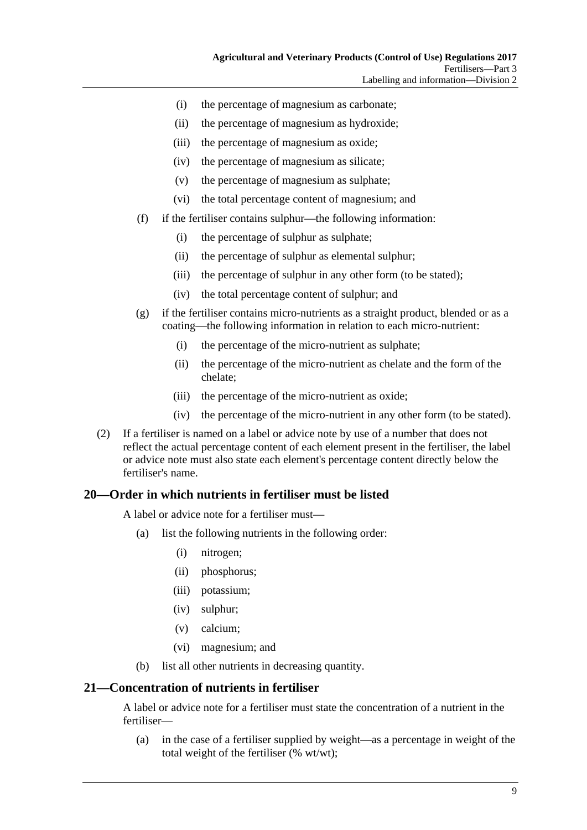- (i) the percentage of magnesium as carbonate;
- (ii) the percentage of magnesium as hydroxide;
- (iii) the percentage of magnesium as oxide;
- (iv) the percentage of magnesium as silicate;
- (v) the percentage of magnesium as sulphate;
- (vi) the total percentage content of magnesium; and
- (f) if the fertiliser contains sulphur—the following information:
	- (i) the percentage of sulphur as sulphate;
	- (ii) the percentage of sulphur as elemental sulphur;
	- (iii) the percentage of sulphur in any other form (to be stated);
	- (iv) the total percentage content of sulphur; and
- (g) if the fertiliser contains micro-nutrients as a straight product, blended or as a coating—the following information in relation to each micro-nutrient:
	- (i) the percentage of the micro-nutrient as sulphate;
	- (ii) the percentage of the micro-nutrient as chelate and the form of the chelate;
	- (iii) the percentage of the micro-nutrient as oxide;
	- (iv) the percentage of the micro-nutrient in any other form (to be stated).
- (2) If a fertiliser is named on a label or advice note by use of a number that does not reflect the actual percentage content of each element present in the fertiliser, the label or advice note must also state each element's percentage content directly below the fertiliser's name.

## <span id="page-8-0"></span>**20—Order in which nutrients in fertiliser must be listed**

A label or advice note for a fertiliser must—

- (a) list the following nutrients in the following order:
	- (i) nitrogen;
	- (ii) phosphorus;
	- (iii) potassium;
	- (iv) sulphur;
	- (v) calcium;
	- (vi) magnesium; and
- (b) list all other nutrients in decreasing quantity.

## <span id="page-8-1"></span>**21—Concentration of nutrients in fertiliser**

A label or advice note for a fertiliser must state the concentration of a nutrient in the fertiliser—

(a) in the case of a fertiliser supplied by weight—as a percentage in weight of the total weight of the fertiliser (% wt/wt);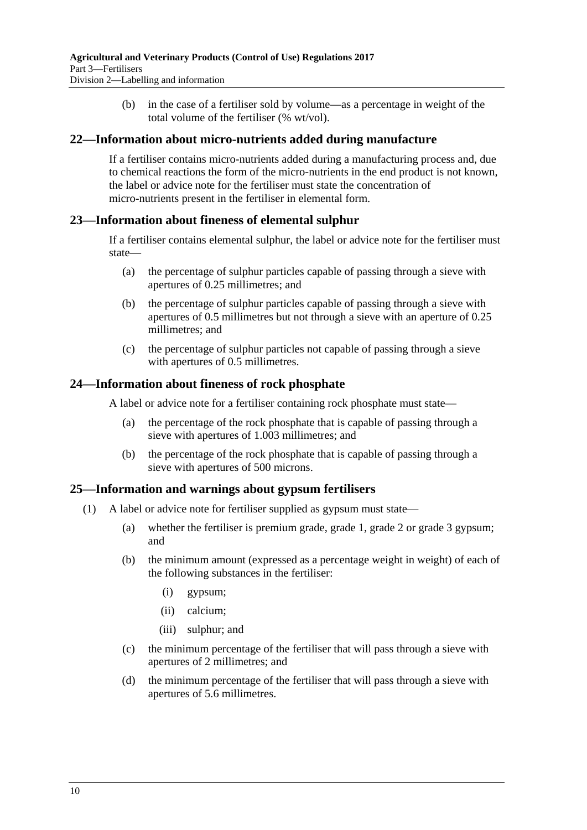(b) in the case of a fertiliser sold by volume—as a percentage in weight of the total volume of the fertiliser (% wt/vol).

#### <span id="page-9-0"></span>**22—Information about micro-nutrients added during manufacture**

If a fertiliser contains micro-nutrients added during a manufacturing process and, due to chemical reactions the form of the micro-nutrients in the end product is not known, the label or advice note for the fertiliser must state the concentration of micro-nutrients present in the fertiliser in elemental form.

#### <span id="page-9-1"></span>**23—Information about fineness of elemental sulphur**

If a fertiliser contains elemental sulphur, the label or advice note for the fertiliser must state—

- (a) the percentage of sulphur particles capable of passing through a sieve with apertures of 0.25 millimetres; and
- (b) the percentage of sulphur particles capable of passing through a sieve with apertures of 0.5 millimetres but not through a sieve with an aperture of 0.25 millimetres; and
- (c) the percentage of sulphur particles not capable of passing through a sieve with apertures of 0.5 millimetres.

#### <span id="page-9-2"></span>**24—Information about fineness of rock phosphate**

A label or advice note for a fertiliser containing rock phosphate must state—

- (a) the percentage of the rock phosphate that is capable of passing through a sieve with apertures of 1.003 millimetres; and
- (b) the percentage of the rock phosphate that is capable of passing through a sieve with apertures of 500 microns.

#### <span id="page-9-3"></span>**25—Information and warnings about gypsum fertilisers**

- (1) A label or advice note for fertiliser supplied as gypsum must state—
	- (a) whether the fertiliser is premium grade, grade 1, grade 2 or grade 3 gypsum; and
	- (b) the minimum amount (expressed as a percentage weight in weight) of each of the following substances in the fertiliser:
		- (i) gypsum;
		- (ii) calcium;
		- (iii) sulphur; and
	- (c) the minimum percentage of the fertiliser that will pass through a sieve with apertures of 2 millimetres; and
	- (d) the minimum percentage of the fertiliser that will pass through a sieve with apertures of 5.6 millimetres.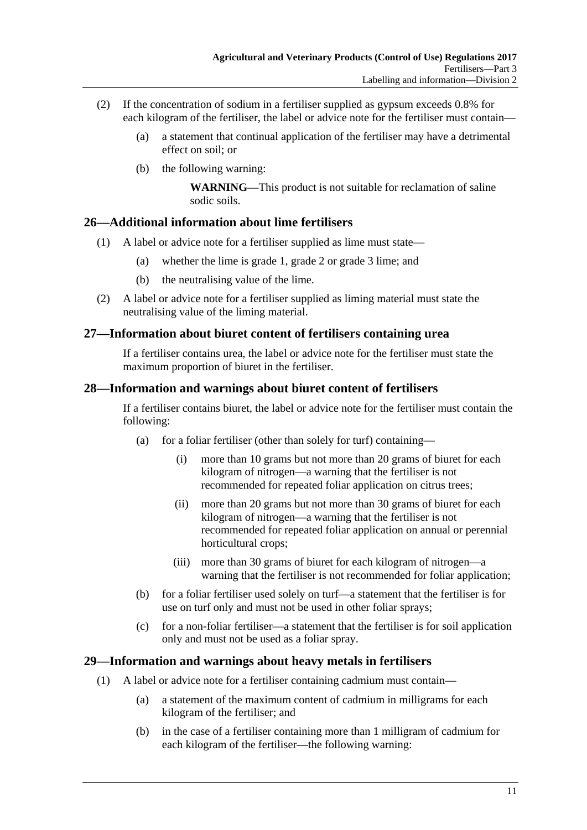- (2) If the concentration of sodium in a fertiliser supplied as gypsum exceeds 0.8% for each kilogram of the fertiliser, the label or advice note for the fertiliser must contain—
	- (a) a statement that continual application of the fertiliser may have a detrimental effect on soil; or
	- (b) the following warning:

**WARNING**—This product is not suitable for reclamation of saline sodic soils.

## <span id="page-10-0"></span>**26—Additional information about lime fertilisers**

- (1) A label or advice note for a fertiliser supplied as lime must state—
	- (a) whether the lime is grade 1, grade 2 or grade 3 lime; and
	- (b) the neutralising value of the lime.
- (2) A label or advice note for a fertiliser supplied as liming material must state the neutralising value of the liming material.

## <span id="page-10-1"></span>**27—Information about biuret content of fertilisers containing urea**

If a fertiliser contains urea, the label or advice note for the fertiliser must state the maximum proportion of biuret in the fertiliser.

### <span id="page-10-2"></span>**28—Information and warnings about biuret content of fertilisers**

If a fertiliser contains biuret, the label or advice note for the fertiliser must contain the following:

- (a) for a foliar fertiliser (other than solely for turf) containing—
	- (i) more than 10 grams but not more than 20 grams of biuret for each kilogram of nitrogen—a warning that the fertiliser is not recommended for repeated foliar application on citrus trees;
	- (ii) more than 20 grams but not more than 30 grams of biuret for each kilogram of nitrogen—a warning that the fertiliser is not recommended for repeated foliar application on annual or perennial horticultural crops;
	- (iii) more than 30 grams of biuret for each kilogram of nitrogen—a warning that the fertiliser is not recommended for foliar application;
- (b) for a foliar fertiliser used solely on turf—a statement that the fertiliser is for use on turf only and must not be used in other foliar sprays;
- (c) for a non-foliar fertiliser—a statement that the fertiliser is for soil application only and must not be used as a foliar spray.

### <span id="page-10-3"></span>**29—Information and warnings about heavy metals in fertilisers**

- (1) A label or advice note for a fertiliser containing cadmium must contain—
	- (a) a statement of the maximum content of cadmium in milligrams for each kilogram of the fertiliser; and
	- (b) in the case of a fertiliser containing more than 1 milligram of cadmium for each kilogram of the fertiliser—the following warning: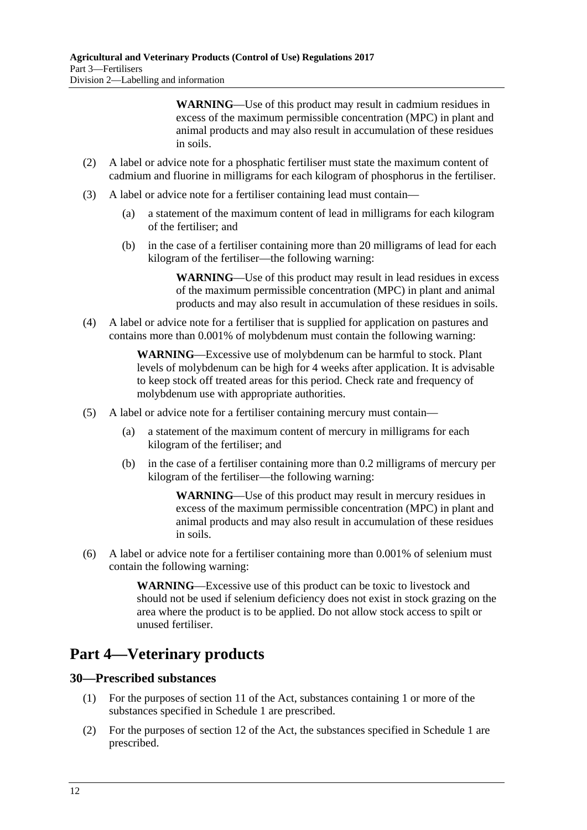**WARNING**—Use of this product may result in cadmium residues in excess of the maximum permissible concentration (MPC) in plant and animal products and may also result in accumulation of these residues in soils.

- (2) A label or advice note for a phosphatic fertiliser must state the maximum content of cadmium and fluorine in milligrams for each kilogram of phosphorus in the fertiliser.
- (3) A label or advice note for a fertiliser containing lead must contain—
	- (a) a statement of the maximum content of lead in milligrams for each kilogram of the fertiliser; and
	- (b) in the case of a fertiliser containing more than 20 milligrams of lead for each kilogram of the fertiliser—the following warning:

**WARNING**—Use of this product may result in lead residues in excess of the maximum permissible concentration (MPC) in plant and animal products and may also result in accumulation of these residues in soils.

(4) A label or advice note for a fertiliser that is supplied for application on pastures and contains more than 0.001% of molybdenum must contain the following warning:

> **WARNING**—Excessive use of molybdenum can be harmful to stock. Plant levels of molybdenum can be high for 4 weeks after application. It is advisable to keep stock off treated areas for this period. Check rate and frequency of molybdenum use with appropriate authorities.

- (5) A label or advice note for a fertiliser containing mercury must contain—
	- (a) a statement of the maximum content of mercury in milligrams for each kilogram of the fertiliser; and
	- (b) in the case of a fertiliser containing more than 0.2 milligrams of mercury per kilogram of the fertiliser—the following warning:

**WARNING**—Use of this product may result in mercury residues in excess of the maximum permissible concentration (MPC) in plant and animal products and may also result in accumulation of these residues in soils.

(6) A label or advice note for a fertiliser containing more than 0.001% of selenium must contain the following warning:

> **WARNING**—Excessive use of this product can be toxic to livestock and should not be used if selenium deficiency does not exist in stock grazing on the area where the product is to be applied. Do not allow stock access to spilt or unused fertiliser.

# <span id="page-11-0"></span>**Part 4—Veterinary products**

### <span id="page-11-1"></span>**30—Prescribed substances**

- (1) For the purposes of section 11 of the Act, substances containing 1 or more of the substances specified in [Schedule](#page-16-1) 1 are prescribed.
- (2) For the purposes of section 12 of the Act, the substances specified in [Schedule](#page-16-1) 1 are prescribed.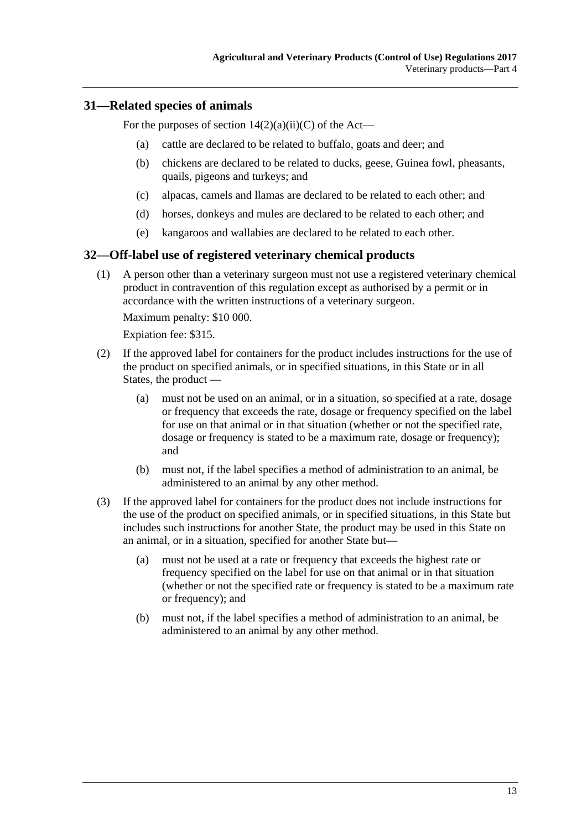### <span id="page-12-0"></span>**31—Related species of animals**

For the purposes of section  $14(2)(a)(ii)(C)$  of the Act—

- (a) cattle are declared to be related to buffalo, goats and deer; and
- (b) chickens are declared to be related to ducks, geese, Guinea fowl, pheasants, quails, pigeons and turkeys; and
- (c) alpacas, camels and llamas are declared to be related to each other; and
- (d) horses, donkeys and mules are declared to be related to each other; and
- (e) kangaroos and wallabies are declared to be related to each other.

#### <span id="page-12-1"></span>**32—Off-label use of registered veterinary chemical products**

(1) A person other than a veterinary surgeon must not use a registered veterinary chemical product in contravention of this regulation except as authorised by a permit or in accordance with the written instructions of a veterinary surgeon.

Maximum penalty: \$10 000.

Expiation fee: \$315.

- (2) If the approved label for containers for the product includes instructions for the use of the product on specified animals, or in specified situations, in this State or in all States, the product —
	- (a) must not be used on an animal, or in a situation, so specified at a rate, dosage or frequency that exceeds the rate, dosage or frequency specified on the label for use on that animal or in that situation (whether or not the specified rate, dosage or frequency is stated to be a maximum rate, dosage or frequency); and
	- (b) must not, if the label specifies a method of administration to an animal, be administered to an animal by any other method.
- (3) If the approved label for containers for the product does not include instructions for the use of the product on specified animals, or in specified situations, in this State but includes such instructions for another State, the product may be used in this State on an animal, or in a situation, specified for another State but—
	- (a) must not be used at a rate or frequency that exceeds the highest rate or frequency specified on the label for use on that animal or in that situation (whether or not the specified rate or frequency is stated to be a maximum rate or frequency); and
	- (b) must not, if the label specifies a method of administration to an animal, be administered to an animal by any other method.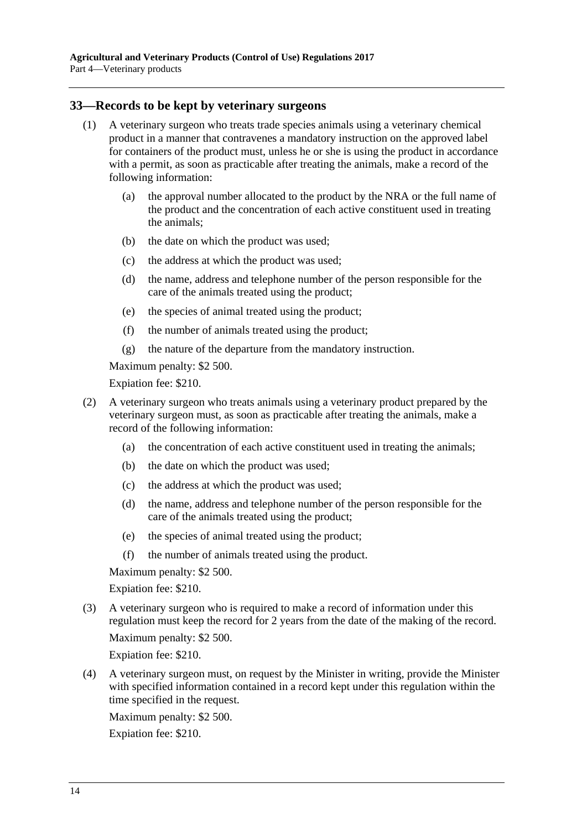#### <span id="page-13-0"></span>**33—Records to be kept by veterinary surgeons**

- (1) A veterinary surgeon who treats trade species animals using a veterinary chemical product in a manner that contravenes a mandatory instruction on the approved label for containers of the product must, unless he or she is using the product in accordance with a permit, as soon as practicable after treating the animals, make a record of the following information:
	- (a) the approval number allocated to the product by the NRA or the full name of the product and the concentration of each active constituent used in treating the animals;
	- (b) the date on which the product was used;
	- (c) the address at which the product was used;
	- (d) the name, address and telephone number of the person responsible for the care of the animals treated using the product;
	- (e) the species of animal treated using the product;
	- (f) the number of animals treated using the product;
	- (g) the nature of the departure from the mandatory instruction.

Maximum penalty: \$2 500.

Expiation fee: \$210.

- (2) A veterinary surgeon who treats animals using a veterinary product prepared by the veterinary surgeon must, as soon as practicable after treating the animals, make a record of the following information:
	- (a) the concentration of each active constituent used in treating the animals;
	- (b) the date on which the product was used;
	- (c) the address at which the product was used;
	- (d) the name, address and telephone number of the person responsible for the care of the animals treated using the product;
	- (e) the species of animal treated using the product;
	- (f) the number of animals treated using the product.

Maximum penalty: \$2 500.

Expiation fee: \$210.

(3) A veterinary surgeon who is required to make a record of information under this regulation must keep the record for 2 years from the date of the making of the record.

Maximum penalty: \$2 500.

Expiation fee: \$210.

(4) A veterinary surgeon must, on request by the Minister in writing, provide the Minister with specified information contained in a record kept under this regulation within the time specified in the request.

Maximum penalty: \$2 500.

Expiation fee: \$210.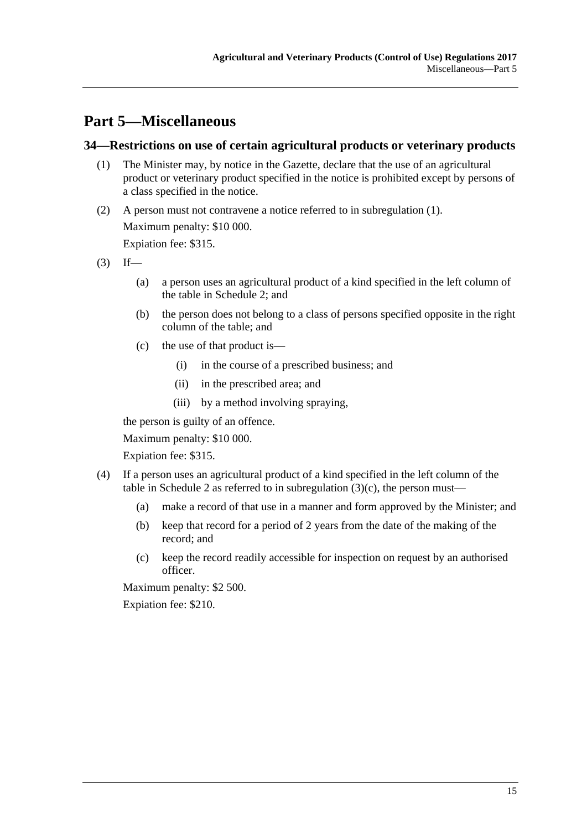# <span id="page-14-0"></span>**Part 5—Miscellaneous**

### <span id="page-14-2"></span><span id="page-14-1"></span>**34—Restrictions on use of certain agricultural products or veterinary products**

- (1) The Minister may, by notice in the Gazette, declare that the use of an agricultural product or veterinary product specified in the notice is prohibited except by persons of a class specified in the notice.
- (2) A person must not contravene a notice referred to in [subregulation](#page-14-2) (1). Maximum penalty: \$10 000. Expiation fee: \$315.
- <span id="page-14-3"></span> $(3)$  If—
	- (a) a person uses an agricultural product of a kind specified in the left column of the table in [Schedule](#page-16-2) 2; and
	- (b) the person does not belong to a class of persons specified opposite in the right column of the table; and
	- (c) the use of that product is—
		- (i) in the course of a prescribed business; and
		- (ii) in the prescribed area; and
		- (iii) by a method involving spraying,

the person is guilty of an offence.

Maximum penalty: \$10 000.

Expiation fee: \$315.

- (4) If a person uses an agricultural product of a kind specified in the left column of the table in [Schedule](#page-16-2) 2 as referred to in [subregulation](#page-14-3)  $(3)(c)$ , the person must—
	- (a) make a record of that use in a manner and form approved by the Minister; and
	- (b) keep that record for a period of 2 years from the date of the making of the record; and
	- (c) keep the record readily accessible for inspection on request by an authorised officer.

Maximum penalty: \$2 500.

Expiation fee: \$210.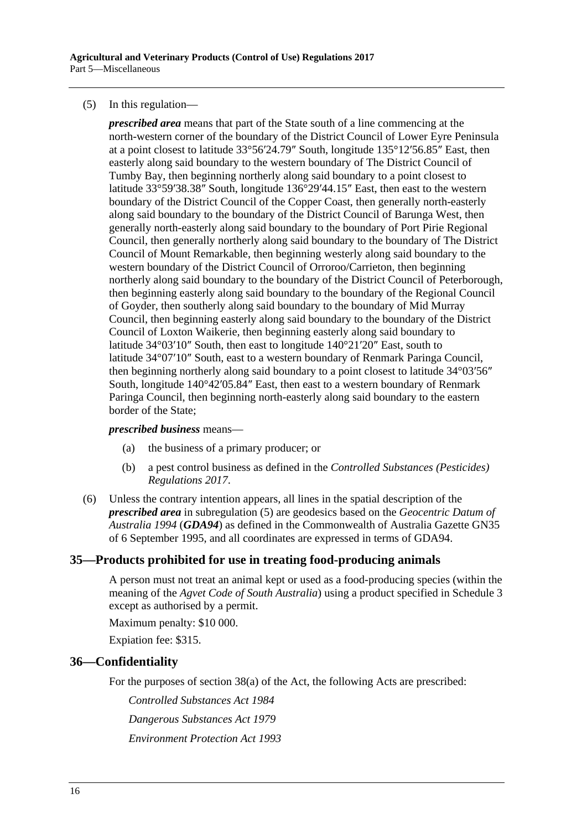#### <span id="page-15-2"></span>(5) In this regulation—

*prescribed area* means that part of the State south of a line commencing at the north-western corner of the boundary of the District Council of Lower Eyre Peninsula at a point closest to latitude 33°56′24.79″ South, longitude 135°12′56.85″ East, then easterly along said boundary to the western boundary of The District Council of Tumby Bay, then beginning northerly along said boundary to a point closest to latitude 33°59′38.38″ South, longitude 136°29′44.15″ East, then east to the western boundary of the District Council of the Copper Coast, then generally north-easterly along said boundary to the boundary of the District Council of Barunga West, then generally north-easterly along said boundary to the boundary of Port Pirie Regional Council, then generally northerly along said boundary to the boundary of The District Council of Mount Remarkable, then beginning westerly along said boundary to the western boundary of the District Council of Orroroo/Carrieton, then beginning northerly along said boundary to the boundary of the District Council of Peterborough, then beginning easterly along said boundary to the boundary of the Regional Council of Goyder, then southerly along said boundary to the boundary of Mid Murray Council, then beginning easterly along said boundary to the boundary of the District Council of Loxton Waikerie, then beginning easterly along said boundary to latitude 34°03′10″ South, then east to longitude 140°21′20″ East, south to latitude 34°07′10″ South, east to a western boundary of Renmark Paringa Council, then beginning northerly along said boundary to a point closest to latitude 34°03′56″ South, longitude 140°42′05.84″ East, then east to a western boundary of Renmark Paringa Council, then beginning north-easterly along said boundary to the eastern border of the State;

#### *prescribed business* means—

- (a) the business of a primary producer; or
- (b) a pest control business as defined in the *[Controlled Substances \(Pesticides\)](http://www.legislation.sa.gov.au/index.aspx?action=legref&type=subordleg&legtitle=Controlled%20Substances%20(Pesticides)%20Regulations%202017)  [Regulations](http://www.legislation.sa.gov.au/index.aspx?action=legref&type=subordleg&legtitle=Controlled%20Substances%20(Pesticides)%20Regulations%202017) 2017*.
- (6) Unless the contrary intention appears, all lines in the spatial description of the *prescribed area* in [subregulation](#page-15-2) (5) are geodesics based on the *Geocentric Datum of Australia 1994* (*GDA94*) as defined in the Commonwealth of Australia Gazette GN35 of 6 September 1995, and all coordinates are expressed in terms of GDA94.

### <span id="page-15-0"></span>**35—Products prohibited for use in treating food-producing animals**

A person must not treat an animal kept or used as a food-producing species (within the meaning of the *Agvet Code of South Australia*) using a product specified in [Schedule](#page-17-0) 3 except as authorised by a permit.

Maximum penalty: \$10 000.

Expiation fee: \$315.

#### <span id="page-15-1"></span>**36—Confidentiality**

For the purposes of section 38(a) of the Act, the following Acts are prescribed:

*[Controlled Substances Act](http://www.legislation.sa.gov.au/index.aspx?action=legref&type=act&legtitle=Controlled%20Substances%20Act%201984) 1984*

*[Dangerous Substances Act](http://www.legislation.sa.gov.au/index.aspx?action=legref&type=act&legtitle=Dangerous%20Substances%20Act%201979) 1979*

*[Environment Protection Act](http://www.legislation.sa.gov.au/index.aspx?action=legref&type=act&legtitle=Environment%20Protection%20Act%201993) 1993*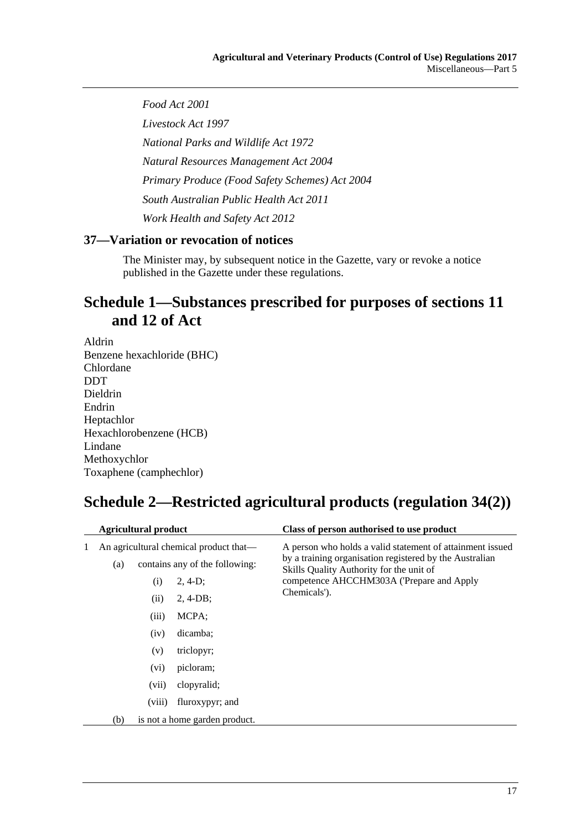*[Food Act](http://www.legislation.sa.gov.au/index.aspx?action=legref&type=act&legtitle=Food%20Act%202001) 2001*

*[Livestock Act](http://www.legislation.sa.gov.au/index.aspx?action=legref&type=act&legtitle=Livestock%20Act%201997) 1997*

*[National Parks and Wildlife Act](http://www.legislation.sa.gov.au/index.aspx?action=legref&type=act&legtitle=National%20Parks%20and%20Wildlife%20Act%201972) 1972*

*[Natural Resources Management Act](http://www.legislation.sa.gov.au/index.aspx?action=legref&type=act&legtitle=Natural%20Resources%20Management%20Act%202004) 2004*

*[Primary Produce \(Food Safety Schemes\) Act](http://www.legislation.sa.gov.au/index.aspx?action=legref&type=act&legtitle=Primary%20Produce%20(Food%20Safety%20Schemes)%20Act%202004) 2004*

*[South Australian Public Health Act](http://www.legislation.sa.gov.au/index.aspx?action=legref&type=act&legtitle=South%20Australian%20Public%20Health%20Act%202011) 2011*

*[Work Health and Safety Act](http://www.legislation.sa.gov.au/index.aspx?action=legref&type=act&legtitle=Work%20Health%20and%20Safety%20Act%202012) 2012*

## <span id="page-16-0"></span>**37—Variation or revocation of notices**

The Minister may, by subsequent notice in the Gazette, vary or revoke a notice published in the Gazette under these regulations.

# <span id="page-16-1"></span>**Schedule 1—Substances prescribed for purposes of sections 11 and 12 of Act**

Aldrin Benzene hexachloride (BHC) Chlordane **DDT** Dieldrin Endrin Heptachlor Hexachlorobenzene (HCB) Lindane Methoxychlor Toxaphene (camphechlor)

# <span id="page-16-2"></span>**Schedule 2—Restricted agricultural products (regulation 34(2))**

|                                      | <b>Agricultural product</b> |                              |                                                                                                                          | Class of person authorised to use product                                                                                                                                                                                     |
|--------------------------------------|-----------------------------|------------------------------|--------------------------------------------------------------------------------------------------------------------------|-------------------------------------------------------------------------------------------------------------------------------------------------------------------------------------------------------------------------------|
| 1                                    | (a)                         | (i)<br>(ii)<br>(iii)<br>(iv) | An agricultural chemical product that—<br>contains any of the following:<br>$2, 4-D;$<br>$2, 4-DB;$<br>MCPA;<br>dicamba; | A person who holds a valid statement of attainment issued<br>by a training organisation registered by the Australian<br>Skills Quality Authority for the unit of<br>competence AHCCHM303A ('Prepare and Apply<br>Chemicals'). |
|                                      |                             | (v)                          | triclopyr;                                                                                                               |                                                                                                                                                                                                                               |
|                                      |                             | (vi)                         | picloram;                                                                                                                |                                                                                                                                                                                                                               |
|                                      |                             | (vii)                        | clopyralid:                                                                                                              |                                                                                                                                                                                                                               |
|                                      |                             | (viii)                       | fluroxypyr; and                                                                                                          |                                                                                                                                                                                                                               |
| (b)<br>is not a home garden product. |                             |                              |                                                                                                                          |                                                                                                                                                                                                                               |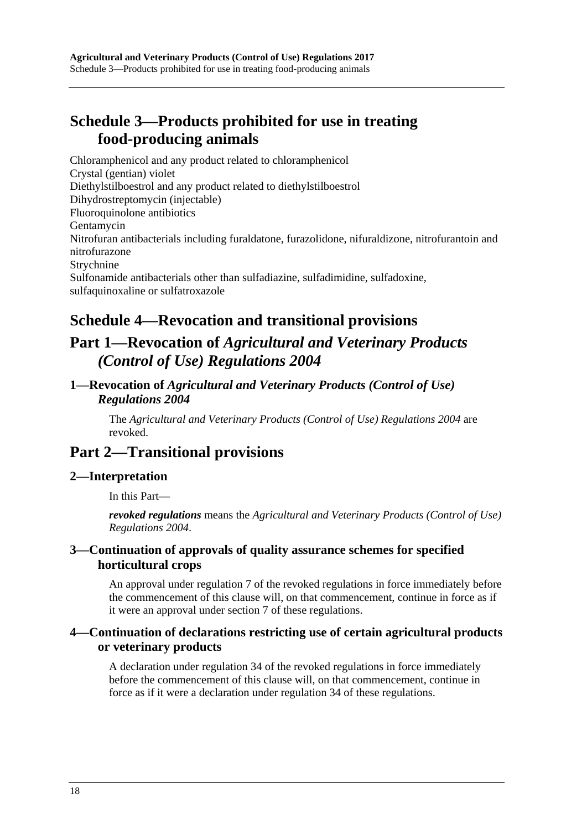# <span id="page-17-0"></span>**Schedule 3—Products prohibited for use in treating food-producing animals**

Chloramphenicol and any product related to chloramphenicol Crystal (gentian) violet Diethylstilboestrol and any product related to diethylstilboestrol Dihydrostreptomycin (injectable) Fluoroquinolone antibiotics Gentamycin Nitrofuran antibacterials including furaldatone, furazolidone, nifuraldizone, nitrofurantoin and nitrofurazone Strychnine Sulfonamide antibacterials other than sulfadiazine, sulfadimidine, sulfadoxine, sulfaquinoxaline or sulfatroxazole

# <span id="page-17-1"></span>**Schedule 4—Revocation and transitional provisions**

# **Part 1—Revocation of** *Agricultural and Veterinary Products (Control of Use) Regulations 2004*

## <span id="page-17-2"></span>**1—Revocation of** *Agricultural and Veterinary Products (Control of Use) Regulations 2004*

The *[Agricultural and Veterinary Products \(Control of Use\) Regulations 2004](http://www.legislation.sa.gov.au/index.aspx?action=legref&type=subordleg&legtitle=Agricultural%20and%20Veterinary%20Products%20(Control%20of%20Use)%20Regulations%202004)* are revoked.

# **Part 2—Transitional provisions**

## <span id="page-17-3"></span>**2—Interpretation**

In this Part—

*revoked regulations* means the *[Agricultural and Veterinary Products \(Control of Use\)](http://www.legislation.sa.gov.au/index.aspx?action=legref&type=subordleg&legtitle=Agricultural%20and%20Veterinary%20Products%20(Control%20of%20Use)%20Regulations%202004)  [Regulations 2004](http://www.legislation.sa.gov.au/index.aspx?action=legref&type=subordleg&legtitle=Agricultural%20and%20Veterinary%20Products%20(Control%20of%20Use)%20Regulations%202004)*.

## <span id="page-17-4"></span>**3—Continuation of approvals of quality assurance schemes for specified horticultural crops**

An approval under regulation 7 of the revoked regulations in force immediately before the commencement of this clause will, on that commencement, continue in force as if it were an approval under [section](#page-4-0) 7 of these regulations.

## <span id="page-17-5"></span>**4—Continuation of declarations restricting use of certain agricultural products or veterinary products**

A declaration under regulation 34 of the revoked regulations in force immediately before the commencement of this clause will, on that commencement, continue in force as if it were a declaration under [regulation](#page-14-1) 34 of these regulations.